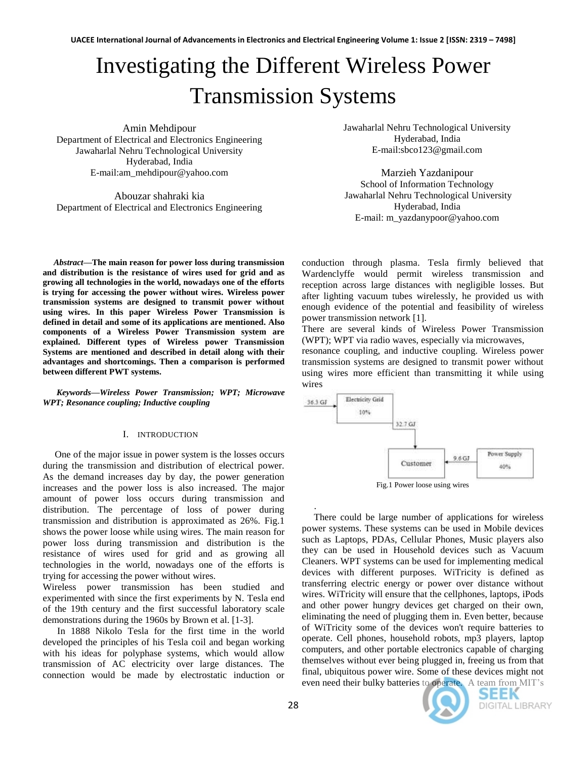# Investigating the Different Wireless Power Transmission Systems

Amin Mehdipour Department of Electrical and Electronics Engineering Jawaharlal Nehru Technological University Hyderabad, India E-mail:am\_mehdipour@yahoo.com

Abouzar shahraki kia Department of Electrical and Electronics Engineering

 *Abstract***—The main reason for power loss during transmission and distribution is the resistance of wires used for grid and as growing all technologies in the world, nowadays one of the efforts is trying for accessing the power without wires. Wireless power transmission systems are designed to transmit power without using wires. In this paper Wireless Power Transmission is defined in detail and some of its applications are mentioned. Also components of a Wireless Power Transmission system are explained. Different types of Wireless power Transmission Systems are mentioned and described in detail along with their advantages and shortcomings. Then a comparison is performed between different PWT systems.**

*Keywords—Wireless Power Transmission; WPT; Microwave WPT; Resonance coupling; Inductive coupling*

## I. INTRODUCTION

 One of the major issue in power system is the losses occurs during the transmission and distribution of electrical power. As the demand increases day by day, the power generation increases and the power loss is also increased. The major amount of power loss occurs during transmission and distribution. The percentage of loss of power during transmission and distribution is approximated as 26%. Fig.1 shows the power loose while using wires. The main reason for power loss during transmission and distribution is the resistance of wires used for grid and as growing all technologies in the world, nowadays one of the efforts is trying for accessing the power without wires.

Wireless power transmission has been studied and experimented with since the first experiments by N. Tesla end of the 19th century and the first successful laboratory scale demonstrations during the 1960s by Brown et al. [1-3].

 In 1888 Nikolo Tesla for the first time in the world developed the principles of his Tesla coil and began working with his ideas for polyphase systems, which would allow transmission of AC electricity over large distances. The connection would be made by electrostatic induction or Jawaharlal Nehru Technological University Hyderabad, India E-mail:sbco123@gmail.com

Marzieh Yazdanipour School of Information Technology Jawaharlal Nehru Technological University Hyderabad, India E-mail: m\_yazdanypoor@yahoo.com

conduction through plasma. Tesla firmly believed that Wardenclyffe would permit wireless transmission and reception across large distances with negligible losses. But after lighting vacuum tubes wirelessly, he provided us with enough evidence of the potential and feasibility of wireless power transmission network [1].

There are several kinds of Wireless Power Transmission (WPT); WPT via radio waves, especially via microwaves,

resonance coupling, and inductive coupling. Wireless power transmission systems are designed to transmit power without using wires more efficient than transmitting it while using wires



 . There could be large number of applications for wireless power systems. These systems can be used in Mobile devices such as Laptops, PDAs, Cellular Phones, Music players also they can be used in Household devices such as Vacuum Cleaners. WPT systems can be used for implementing medical devices with different purposes. WiTricity is defined as transferring electric energy or power over distance without wires. WiTricity will ensure that the cellphones, laptops, iPods and other power hungry devices get charged on their own, eliminating the need of plugging them in. Even better, because of WiTricity some of the devices won't require batteries to operate. Cell phones, household robots, mp3 players, laptop computers, and other portable electronics capable of charging themselves without ever being plugged in, freeing us from that final, ubiquitous power wire. Some of these devices might not even need their bulky batteries to operate. A team from MIT's



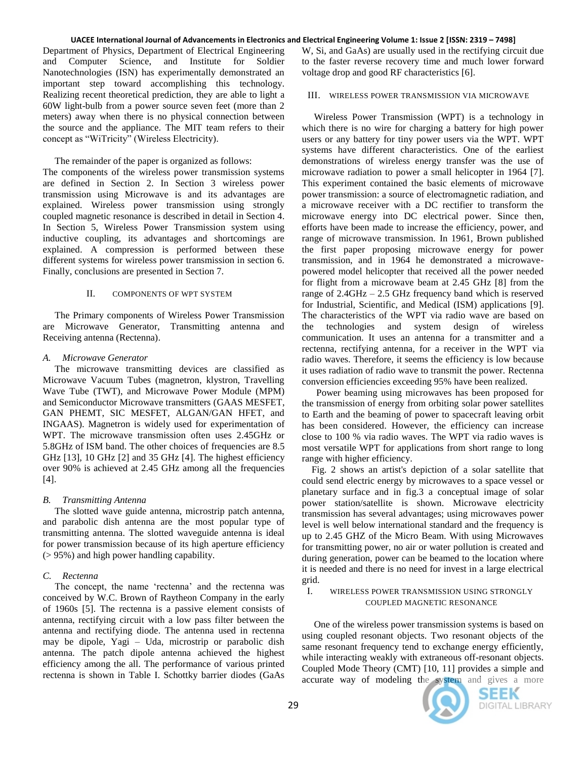#### UACEE International Journal of Advancements in Electronics and Electrical Engineering Volume 1: Issue 2 [ISSN: 2319 - 7498]

Department of Physics, Department of Electrical Engineering and Computer Science, and Institute for Soldier Nanotechnologies (ISN) has experimentally demonstrated an important step toward accomplishing this technology. Realizing recent theoretical prediction, they are able to light a 60W light-bulb from a power source seven feet (more than 2 meters) away when there is no physical connection between the source and the appliance. The MIT team refers to their concept as "WiTricity" (Wireless Electricity).

## The remainder of the paper is organized as follows:

The components of the wireless power transmission systems are defined in Section 2. In Section 3 wireless power transmission using Microwave is and its advantages are explained. Wireless power transmission using strongly coupled magnetic resonance is described in detail in Section 4. In Section 5, Wireless Power Transmission system using inductive coupling, its advantages and shortcomings are explained. A compression is performed between these different systems for wireless power transmission in section 6. Finally, conclusions are presented in Section 7.

## II. COMPONENTS OF WPT SYSTEM

 The Primary components of Wireless Power Transmission are Microwave Generator, Transmitting antenna and Receiving antenna (Rectenna).

## *A. Microwave Generator*

 The microwave transmitting devices are classified as Microwave Vacuum Tubes (magnetron, klystron, Travelling Wave Tube (TWT), and Microwave Power Module (MPM) and Semiconductor Microwave transmitters (GAAS MESFET, GAN PHEMT, SIC MESFET, ALGAN/GAN HFET, and INGAAS). Magnetron is widely used for experimentation of WPT. The microwave transmission often uses 2.45GHz or 5.8GHz of ISM band. The other choices of frequencies are 8.5 GHz [13], 10 GHz [2] and 35 GHz [4]. The highest efficiency over 90% is achieved at 2.45 GHz among all the frequencies [4].

## *B. Transmitting Antenna*

 The slotted wave guide antenna, microstrip patch antenna, and parabolic dish antenna are the most popular type of transmitting antenna. The slotted waveguide antenna is ideal for power transmission because of its high aperture efficiency (> 95%) and high power handling capability.

## *C. Rectenna*

The concept, the name 'rectenna' and the rectenna was conceived by W.C. Brown of Raytheon Company in the early of 1960s [5]. The rectenna is a passive element consists of antenna, rectifying circuit with a low pass filter between the antenna and rectifying diode. The antenna used in rectenna may be dipole, Yagi – Uda, microstrip or parabolic dish antenna. The patch dipole antenna achieved the highest efficiency among the all. The performance of various printed rectenna is shown in Table I. Schottky barrier diodes (GaAs

W, Si, and GaAs) are usually used in the rectifying circuit due to the faster reverse recovery time and much lower forward voltage drop and good RF characteristics [6].

## III. WIRELESS POWER TRANSMISSION VIA MICROWAVE

 Wireless Power Transmission (WPT) is a technology in which there is no wire for charging a battery for high power users or any battery for tiny power users via the WPT. WPT systems have different characteristics. One of the earliest demonstrations of wireless energy transfer was the use of microwave radiation to power a small helicopter in 1964 [7]. This experiment contained the basic elements of microwave power transmission: a source of electromagnetic radiation, and a microwave receiver with a DC rectifier to transform the microwave energy into DC electrical power. Since then, efforts have been made to increase the efficiency, power, and range of microwave transmission. In 1961, Brown published the first paper proposing microwave energy for power transmission, and in 1964 he demonstrated a microwavepowered model helicopter that received all the power needed for flight from a microwave beam at 2.45 GHz [8] from the range of 2.4GHz – 2.5 GHz frequency band which is reserved for Industrial, Scientific, and Medical (ISM) applications [9]. The characteristics of the WPT via radio wave are based on the technologies and system design of wireless communication. It uses an antenna for a transmitter and a rectenna, rectifying antenna, for a receiver in the WPT via radio waves. Therefore, it seems the efficiency is low because it uses radiation of radio wave to transmit the power. Rectenna conversion efficiencies exceeding 95% have been realized.

 Power beaming using microwaves has been proposed for the transmission of energy from orbiting [solar power satellites](http://en.wikipedia.org/wiki/Solar_power_satellite) to Earth and the [beaming of power to spacecraft](http://en.wikipedia.org/wiki/Beam-powered_propulsion) leaving orbit has been considered. However, the efficiency can increase close to 100 % via radio waves. The WPT via radio waves is most versatile WPT for applications from short range to long range with higher efficiency.

 Fig. 2 shows an artist's depiction of a [solar satellite](http://en.wikipedia.org/wiki/Solar_satellite) that could send electric energy by microwaves to a space vessel or planetary surface and in fig.3 a conceptual image of solar power station/satellite is shown. Microwave electricity transmission has several advantages; using microwaves power level is well below international standard and the frequency is up to 2.45 GHZ of the Micro Beam. With using Microwaves for transmitting power, no air or water pollution is created and during generation, power can be beamed to the location where it is needed and there is no need for invest in a large electrical grid.

## I. WIRELESS POWER TRANSMISSION USING STRONGLY COUPLED MAGNETIC RESONANCE

 One of the wireless power transmission systems is based on using coupled resonant objects. Two resonant objects of the same resonant frequency tend to exchange energy efficiently, while interacting weakly with extraneous off-resonant objects. Coupled Mode Theory (CMT) [10, 11] provides a simple and accurate way of modeling the system and gives a more



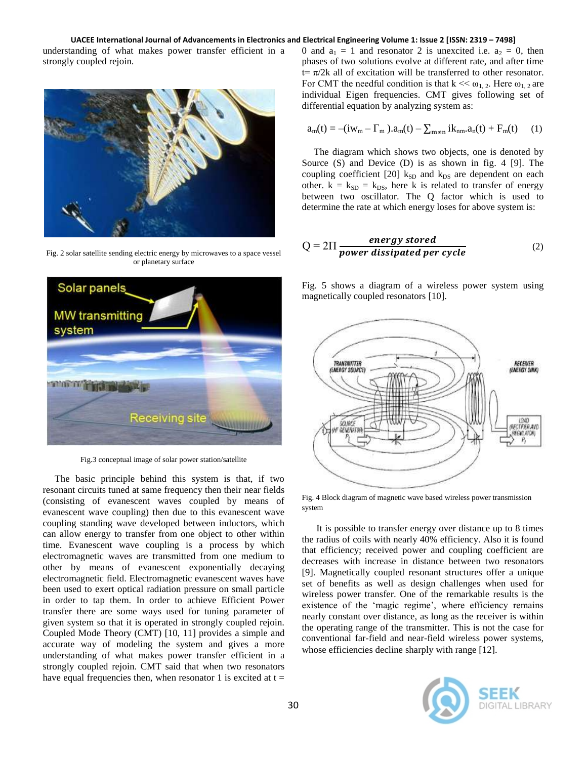#### UACEE International Journal of Advancements in Electronics and Electrical Engineering Volume 1: Issue 2 [ISSN: 2319 - 7498]

understanding of what makes power transfer efficient in a strongly coupled rejoin.



Fig. 2 [solar satellite](http://en.wikipedia.org/wiki/Solar_satellite) sending electric energy by microwaves to a space vessel or planetary surface



Fig.3 conceptual image of solar power station/satellite

 The basic principle behind this system is that, if two resonant circuits tuned at same frequency then their near fields (consisting of evanescent waves coupled by means of evanescent wave coupling) then due to this evanescent wave coupling standing wave developed between inductors, which can allow energy to transfer from one object to other within time. Evanescent wave coupling is a process by which electromagnetic waves are transmitted from one medium to other by means of evanescent exponentially decaying electromagnetic field. Electromagnetic evanescent waves have been used to exert optical radiation pressure on small particle in order to tap them. In order to achieve Efficient Power transfer there are some ways used for tuning parameter of given system so that it is operated in strongly coupled rejoin. Coupled Mode Theory (CMT) [10, 11] provides a simple and accurate way of modeling the system and gives a more understanding of what makes power transfer efficient in a strongly coupled rejoin. CMT said that when two resonators have equal frequencies then, when resonator 1 is excited at  $t =$ 

0 and  $a_1 = 1$  and resonator 2 is unexcited i.e.  $a_2 = 0$ , then phases of two solutions evolve at different rate, and after time  $t=\pi/2k$  all of excitation will be transferred to other resonator. For CMT the needful condition is that  $k \ll \omega_{1,2}$ . Here  $\omega_{1,2}$  are individual Eigen frequencies. CMT gives following set of differential equation by analyzing system as:

$$
a_m(t) = -(iw_m - \Gamma_m).a_m(t) - \sum_{m \neq n} ik_{nm}.a_n(t) + F_m(t) \qquad (1)
$$

 The diagram which shows two objects, one is denoted by Source (S) and Device (D) is as shown in fig. 4 [9]. The coupling coefficient [20]  $k_{SD}$  and  $k_{DS}$  are dependent on each other.  $k = k_{SD} = k_{DS}$ , here k is related to transfer of energy between two oscillator. The Q factor which is used to determine the rate at which energy loses for above system is:

$$
Q = 2\Pi \frac{energy\ stored}{power\ dissipated\ per\ cycle}
$$
 (2)

Fig. 5 shows a diagram of a wireless power system using magnetically coupled resonators [10].



Fig. 4 Block diagram of magnetic wave based wireless power transmission system

 It is possible to transfer energy over distance up to 8 times the radius of coils with nearly 40% efficiency. Also it is found that efficiency; received power and coupling coefficient are decreases with increase in distance between two resonators [9]. Magnetically coupled resonant structures offer a unique set of benefits as well as design challenges when used for wireless power transfer. One of the remarkable results is the existence of the 'magic regime', where efficiency remains nearly constant over distance, as long as the receiver is within the operating range of the transmitter. This is not the case for conventional far-field and near-field wireless power systems, whose efficiencies decline sharply with range [12].

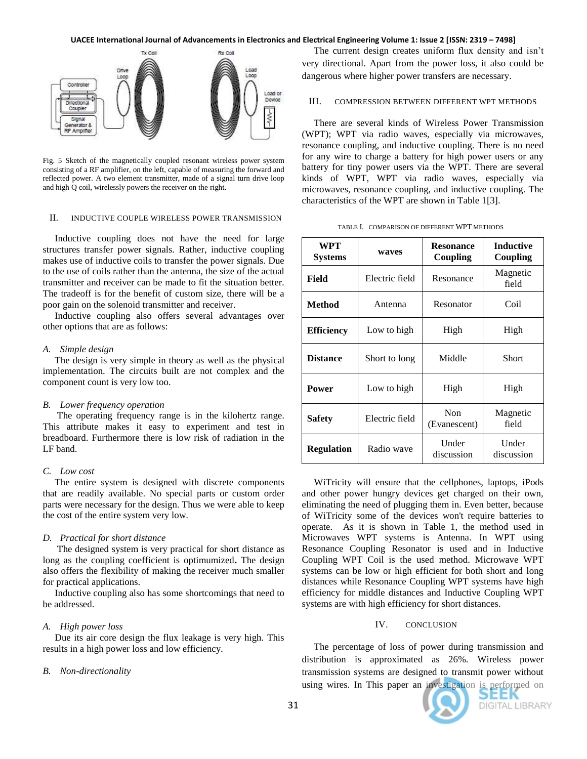#### UACEE International Journal of Advancements in Electronics and Electrical Engineering Volume 1: Issue 2 [ISSN: 2319 - 7498]



Fig. 5 Sketch of the magnetically coupled resonant wireless power system consisting of a RF amplifier, on the left, capable of measuring the forward and reflected power. A two element transmitter, made of a signal turn drive loop and high Q coil, wirelessly powers the receiver on the right.

#### II. INDUCTIVE COUPLE WIRELESS POWER TRANSMISSION

Inductive coupling does not have the need for large structures transfer power signals. Rather, inductive coupling makes use of inductive coils to transfer the power signals. Due to the use of coils rather than the antenna, the size of the actual transmitter and receiver can be made to fit the situation better. The tradeoff is for the benefit of custom size, there will be a poor gain on the solenoid transmitter and receiver.

 Inductive coupling also offers several advantages over other options that are as follows:

### *A. Simple design*

 The design is very simple in theory as well as the physical implementation. The circuits built are not complex and the component count is very low too.

## *B. Lower frequency operation*

 The operating frequency range is in the kilohertz range. This attribute makes it easy to experiment and test in breadboard. Furthermore there is low risk of radiation in the LF band.

#### *C. Low cost*

 The entire system is designed with discrete components that are readily available. No special parts or custom order parts were necessary for the design. Thus we were able to keep the cost of the entire system very low.

#### *D. Practical for short distance*

 The designed system is very practical for short distance as long as the coupling coefficient is optimumized**.** The design also offers the flexibility of making the receiver much smaller for practical applications.

 Inductive coupling also has some shortcomings that need to be addressed.

#### *A. High power loss*

 Due its air core design the flux leakage is very high. This results in a high power loss and low efficiency.

#### *B. Non-directionality*

 The current design creates uniform flux density and isn"t very directional. Apart from the power loss, it also could be dangerous where higher power transfers are necessary.

III. COMPRESSION BETWEEN DIFFERENT WPT METHODS

 There are several kinds of Wireless Power Transmission (WPT); WPT via radio waves, especially via microwaves, resonance coupling, and inductive coupling. There is no need for any wire to charge a battery for high power users or any battery for tiny power users via the WPT. There are several kinds of WPT, WPT via radio waves, especially via microwaves, resonance coupling, and inductive coupling. The characteristics of the WPT are shown in Table 1[3].

|  | TABLE I. COMPARISON OF DIFFERENT WPT METHODS |  |
|--|----------------------------------------------|--|
|--|----------------------------------------------|--|

| WPT<br><b>Systems</b> | waves          | <b>Resonance</b><br>Coupling | <b>Inductive</b><br>Coupling |
|-----------------------|----------------|------------------------------|------------------------------|
| Field                 | Electric field | Resonance                    | Magnetic<br>field            |
| Method                | Antenna        | Resonator                    | Coil                         |
| <b>Efficiency</b>     | Low to high    | High                         | High                         |
| <b>Distance</b>       | Short to long  | Middle                       | Short                        |
| <b>Power</b>          | Low to high    | High                         | High                         |
| Safety                | Electric field | Non<br>(Evanescent)          | Magnetic<br>field            |
| <b>Regulation</b>     | Radio wave     | Under<br>discussion          | Under<br>discussion          |

 WiTricity will ensure that the cellphones, laptops, iPods and other power hungry devices get charged on their own, eliminating the need of plugging them in. Even better, because of WiTricity some of the devices won't require batteries to operate. As it is shown in Table 1, the method used in Microwaves WPT systems is Antenna. In WPT using Resonance Coupling Resonator is used and in Inductive Coupling WPT Coil is the used method. Microwave WPT systems can be low or high efficient for both short and long distances while Resonance Coupling WPT systems have high efficiency for middle distances and Inductive Coupling WPT systems are with high efficiency for short distances.

#### IV. CONCLUSION

 The percentage of loss of power during transmission and distribution is approximated as 26%. Wireless power transmission systems are designed to transmit power without using wires. In This paper an investigation is performed on



DIGITAL LIBRARY